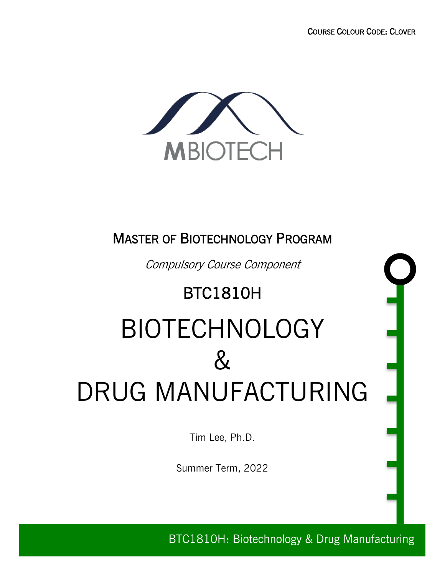

### MASTER OF BIOTECHNOLOGY PROGRAM

Compulsory Course Component

## BTC1810H

# BIOTECHNOLOGY  $\&$ DRUG MANUFACTURING

Tim Lee, Ph.D.

Summer Term, 2022

BTC1810H: Biotechnology & Drug Manufacturing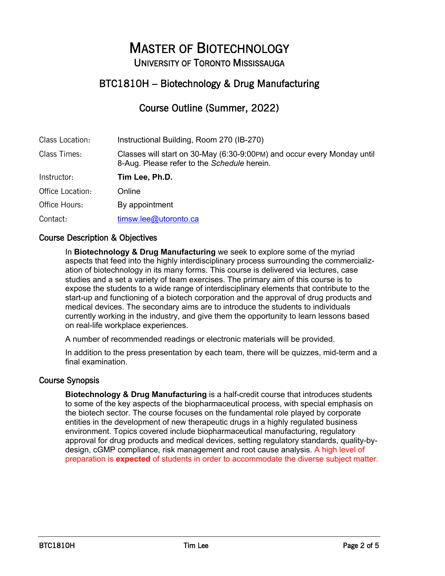## MASTER OF BIOTECHNOLOGY UNIVERSITY OF TORONTO MISSISSAUGA

#### BTC1810H – Biotechnology & Drug Manufacturing

#### Course Outline (Summer, 2022)

| Class Location:  | Instructional Building, Room 270 (IB-270)                                                                              |
|------------------|------------------------------------------------------------------------------------------------------------------------|
| Class Times:     | Classes will start on 30-May (6:30-9:00PM) and occur every Monday until<br>8-Aug. Please refer to the Schedule herein. |
| Instructor:      | Tim Lee, Ph.D.                                                                                                         |
| Office Location: | Online                                                                                                                 |
| Office Hours:    | By appointment                                                                                                         |
| Contact:         | timsw.lee@utoronto.ca                                                                                                  |

#### Course Description & Objectives

In **Biotechnology & Drug Manufacturing** we seek to explore some of the myriad aspects that feed into the highly interdisciplinary process surrounding the commercialization of biotechnology in its many forms. This course is delivered via lectures, case studies and a set a variety of team exercises. The primary aim of this course is to expose the students to a wide range of interdisciplinary elements that contribute to the start-up and functioning of a biotech corporation and the approval of drug products and medical devices. The secondary aims are to introduce the students to individuals currently working in the industry, and give them the opportunity to learn lessons based on real-life workplace experiences.

A number of recommended readings or electronic materials will be provided.

In addition to the press presentation by each team, there will be quizzes, mid-term and a final examination.

#### Course Synopsis

**Biotechnology & Drug Manufacturing** is a half-credit course that introduces students to some of the key aspects of the biopharmaceutical process, with special emphasis on the biotech sector. The course focuses on the fundamental role played by corporate entities in the development of new therapeutic drugs in a highly regulated business environment. Topics covered include biopharmaceutical manufacturing, regulatory approval for drug products and medical devices, setting regulatory standards, quality-bydesign, cGMP compliance, risk management and root cause analysis. A high level of preparation is **expected** of students in order to accommodate the diverse subject matter.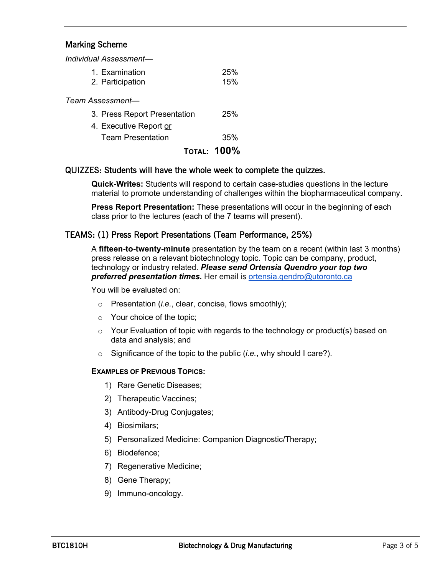#### Marking Scheme

*Individual Assessment—*

| TOTAL: 100%                        |            |
|------------------------------------|------------|
| <b>Team Presentation</b>           | 35%        |
| 4. Executive Report or             |            |
| 3. Press Report Presentation       | 25%        |
| Team Assessment—                   |            |
| 1. Examination<br>2. Participation | 25%<br>15% |
|                                    |            |

#### QUIZZES: Students will have the whole week to complete the quizzes.

**Quick-Writes:** Students will respond to certain case-studies questions in the lecture material to promote understanding of challenges within the biopharmaceutical company.

**Press Report Presentation:** These presentations will occur in the beginning of each class prior to the lectures (each of the 7 teams will present).

#### TEAMS: (1) Press Report Presentations (Team Performance, 25%)

A **fifteen-to-twenty-minute** presentation by the team on a recent (within last 3 months) press release on a relevant biotechnology topic. Topic can be company, product, technology or industry related. *Please send Ortensia Quendro your top two preferred presentation times.* Her email is ortensia.qendro@utoronto.ca

#### You will be evaluated on:

- o Presentation (*i.e.*, clear, concise, flows smoothly);
- o Your choice of the topic;
- $\circ$  Your Evaluation of topic with regards to the technology or product(s) based on data and analysis; and
- o Significance of the topic to the public (*i.e.*, why should I care?).

#### **EXAMPLES OF PREVIOUS TOPICS:**

- 1) Rare Genetic Diseases;
- 2) Therapeutic Vaccines;
- 3) Antibody-Drug Conjugates;
- 4) Biosimilars;
- 5) Personalized Medicine: Companion Diagnostic/Therapy;
- 6) Biodefence;
- 7) Regenerative Medicine;
- 8) Gene Therapy;
- 9) Immuno-oncology.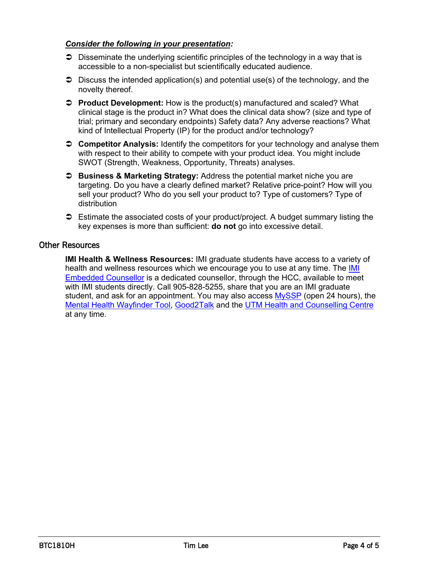#### *Consider the following in your presentation:*

- $\supset$  Disseminate the underlying scientific principles of the technology in a way that is accessible to a non-specialist but scientifically educated audience.
- $\supset$  Discuss the intended application(s) and potential use(s) of the technology, and the novelty thereof.
- Ü **Product Development:** How is the product(s) manufactured and scaled? What clinical stage is the product in? What does the clinical data show? (size and type of trial; primary and secondary endpoints) Safety data? Any adverse reactions? What kind of Intellectual Property (IP) for the product and/or technology?
- Ü **Competitor Analysis:** Identify the competitors for your technology and analyse them with respect to their ability to compete with your product idea. You might include SWOT (Strength, Weakness, Opportunity, Threats) analyses.
- Ü **Business & Marketing Strategy:** Address the potential market niche you are targeting. Do you have a clearly defined market? Relative price-point? How will you sell your product? Who do you sell your product to? Type of customers? Type of distribution
- $\supset$  Estimate the associated costs of your product/project. A budget summary listing the key expenses is more than sufficient: **do not** go into excessive detail.

#### Other Resources

**IMI Health & Wellness Resources:** IMI graduate students have access to a variety of health and wellness resources which we encourage you to use at any time. The IMI Embedded Counsellor is a dedicated counsellor, through the HCC, available to meet with IMI students directly. Call 905-828-5255, share that you are an IMI graduate student, and ask for an appointment. You may also access MySSP (open 24 hours), the Mental Health Wayfinder Tool, Good2Talk and the UTM Health and Counselling Centre at any time.